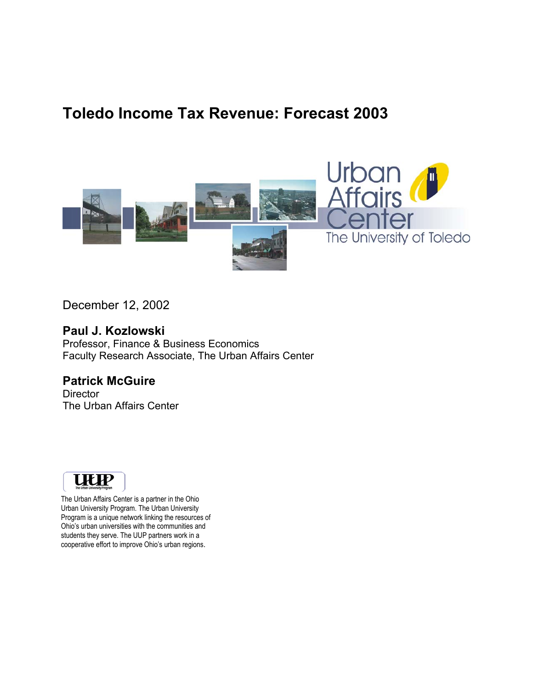# **Toledo Income Tax Revenue: Forecast 2003**



December 12, 2002

#### **Paul J. Kozlowski**

Professor, Finance & Business Economics Faculty Research Associate, The Urban Affairs Center

#### **Patrick McGuire**

**Director** The Urban Affairs Center



The Urban Affairs Center is a partner in the Ohio Urban University Program. The Urban University Program is a unique network linking the resources of Ohio's urban universities with the communities and students they serve. The UUP partners work in a cooperative effort to improve Ohio's urban regions.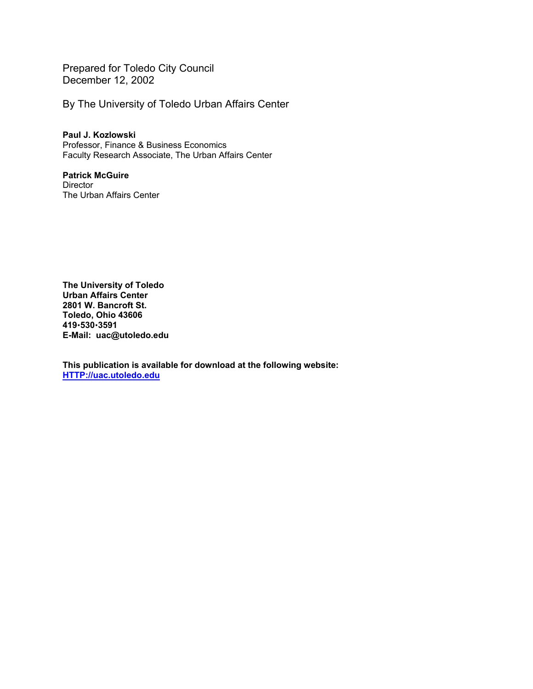Prepared for Toledo City Council December 12, 2002

By The University of Toledo Urban Affairs Center

**Paul J. Kozlowski**  Professor, Finance & Business Economics Faculty Research Associate, The Urban Affairs Center

**Patrick McGuire Director** The Urban Affairs Center

**The University of Toledo Urban Affairs Center 2801 W. Bancroft St. Toledo, Ohio 43606 419**x**530**x**3591 E-Mail: uac@utoledo.edu** 

**This publication is available for download at the following website: HTTP://uac.utoledo.edu**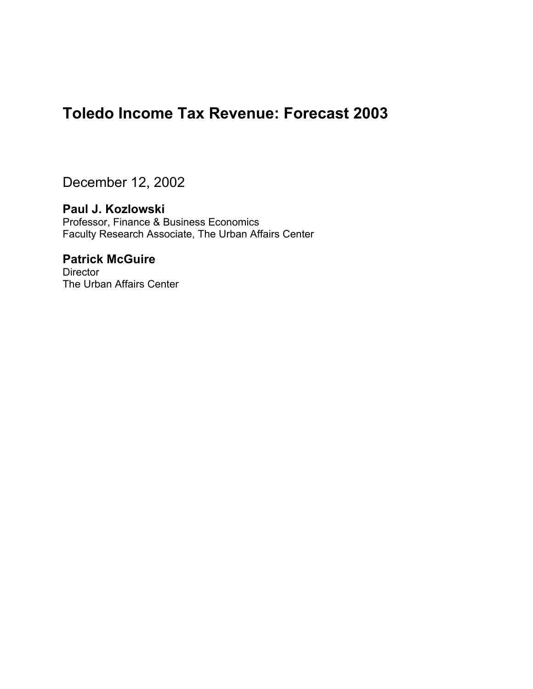## **Toledo Income Tax Revenue: Forecast 2003**

December 12, 2002

#### **Paul J. Kozlowski**

Professor, Finance & Business Economics Faculty Research Associate, The Urban Affairs Center

### **Patrick McGuire**

**Director** The Urban Affairs Center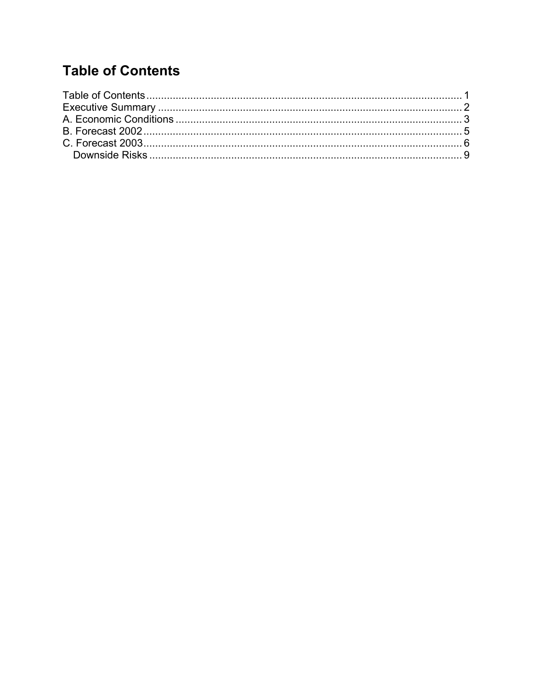# **Table of Contents**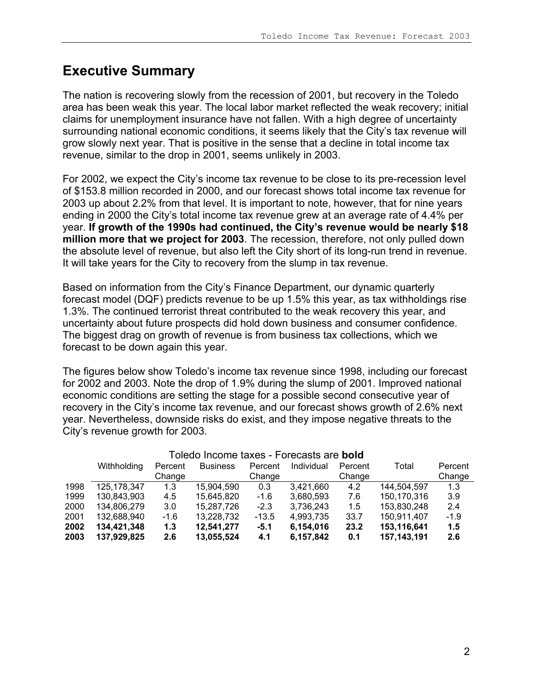### **Executive Summary**

The nation is recovering slowly from the recession of 2001, but recovery in the Toledo area has been weak this year. The local labor market reflected the weak recovery; initial claims for unemployment insurance have not fallen. With a high degree of uncertainty surrounding national economic conditions, it seems likely that the City's tax revenue will grow slowly next year. That is positive in the sense that a decline in total income tax revenue, similar to the drop in 2001, seems unlikely in 2003.

For 2002, we expect the City's income tax revenue to be close to its pre-recession level of \$153.8 million recorded in 2000, and our forecast shows total income tax revenue for 2003 up about 2.2% from that level. It is important to note, however, that for nine years ending in 2000 the City's total income tax revenue grew at an average rate of 4.4% per year. **If growth of the 1990s had continued, the City's revenue would be nearly \$18 million more that we project for 2003**. The recession, therefore, not only pulled down the absolute level of revenue, but also left the City short of its long-run trend in revenue. It will take years for the City to recovery from the slump in tax revenue.

Based on information from the City's Finance Department, our dynamic quarterly forecast model (DQF) predicts revenue to be up 1.5% this year, as tax withholdings rise 1.3%. The continued terrorist threat contributed to the weak recovery this year, and uncertainty about future prospects did hold down business and consumer confidence. The biggest drag on growth of revenue is from business tax collections, which we forecast to be down again this year.

The figures below show Toledo's income tax revenue since 1998, including our forecast for 2002 and 2003. Note the drop of 1.9% during the slump of 2001. Improved national economic conditions are setting the stage for a possible second consecutive year of recovery in the City's income tax revenue, and our forecast shows growth of 2.6% next year. Nevertheless, downside risks do exist, and they impose negative threats to the City's revenue growth for 2003.

| Toledo Income taxes - Forecasts are bold |                        |        |                 |                       |           |                  |               |         |
|------------------------------------------|------------------------|--------|-----------------|-----------------------|-----------|------------------|---------------|---------|
|                                          | Withholding<br>Percent |        | <b>Business</b> | Individual<br>Percent |           | Total<br>Percent |               | Percent |
|                                          |                        | Change |                 | Change                |           | Change           |               | Change  |
| 1998                                     | 125, 178, 347          | 1.3    | 15,904,590      | 0.3                   | 3,421,660 | 4.2              | 144,504,597   | 1.3     |
| 1999                                     | 130,843,903            | 4.5    | 15,645,820      | $-1.6$                | 3,680,593 | 7.6              | 150,170,316   | 3.9     |
| 2000                                     | 134,806,279            | 3.0    | 15.287.726      | $-2.3$                | 3,736,243 | 1.5              | 153,830,248   | 2.4     |
| 2001                                     | 132,688,940            | $-1.6$ | 13,228,732      | $-13.5$               | 4,993,735 | 33.7             | 150,911,407   | $-1.9$  |
| 2002                                     | 134,421,348            | 1.3    | 12,541,277      | $-5.1$                | 6,154,016 | 23.2             | 153,116,641   | 1.5     |
| 2003                                     | 137,929,825            | 2.6    | 13,055,524      | 4.1                   | 6,157,842 | 0.1              | 157, 143, 191 | 2.6     |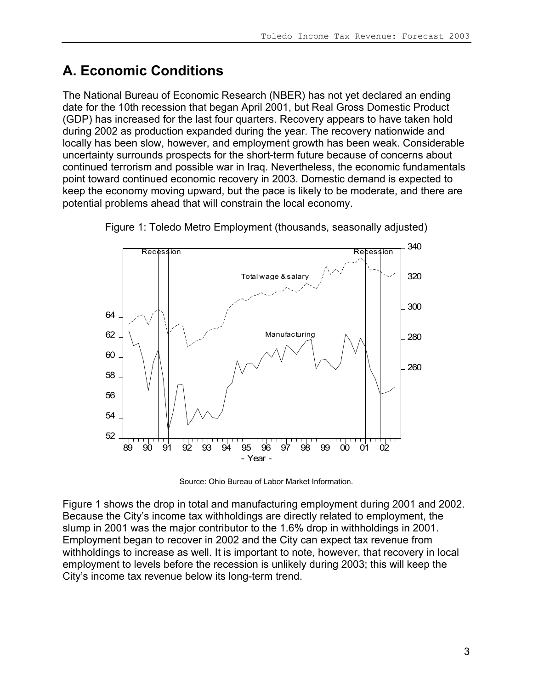# **A. Economic Conditions**

The National Bureau of Economic Research (NBER) has not yet declared an ending date for the 10th recession that began April 2001, but Real Gross Domestic Product (GDP) has increased for the last four quarters. Recovery appears to have taken hold during 2002 as production expanded during the year. The recovery nationwide and locally has been slow, however, and employment growth has been weak. Considerable uncertainty surrounds prospects for the short-term future because of concerns about continued terrorism and possible war in Iraq. Nevertheless, the economic fundamentals point toward continued economic recovery in 2003. Domestic demand is expected to keep the economy moving upward, but the pace is likely to be moderate, and there are potential problems ahead that will constrain the local economy.





Source: Ohio Bureau of Labor Market Information.

Figure 1 shows the drop in total and manufacturing employment during 2001 and 2002. Because the City's income tax withholdings are directly related to employment, the slump in 2001 was the major contributor to the 1.6% drop in withholdings in 2001. Employment began to recover in 2002 and the City can expect tax revenue from withholdings to increase as well. It is important to note, however, that recovery in local employment to levels before the recession is unlikely during 2003; this will keep the City's income tax revenue below its long-term trend.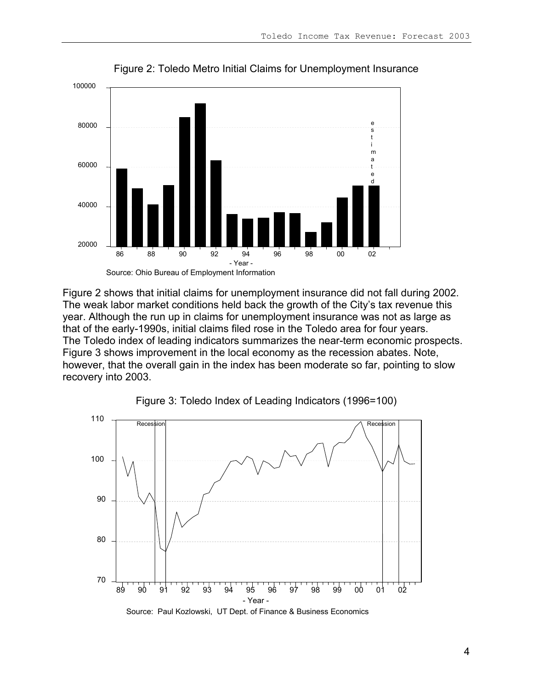

Figure 2: Toledo Metro Initial Claims for Unemployment Insurance

Figure 2 shows that initial claims for unemployment insurance did not fall during 2002. The weak labor market conditions held back the growth of the City's tax revenue this year. Although the run up in claims for unemployment insurance was not as large as that of the early-1990s, initial claims filed rose in the Toledo area for four years. The Toledo index of leading indicators summarizes the near-term economic prospects. Figure 3 shows improvement in the local economy as the recession abates. Note, however, that the overall gain in the index has been moderate so far, pointing to slow recovery into 2003.



Figure 3: Toledo Index of Leading Indicators (1996=100)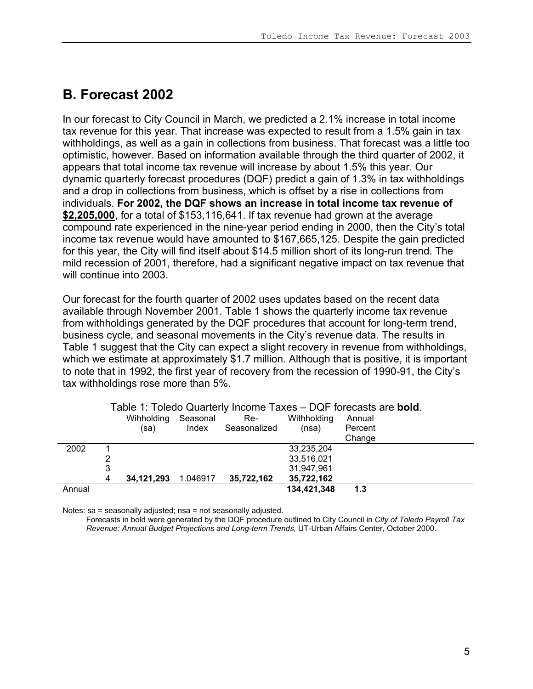## **B. Forecast 2002**

In our forecast to City Council in March, we predicted a 2.1% increase in total income tax revenue for this year. That increase was expected to result from a 1.5% gain in tax withholdings, as well as a gain in collections from business. That forecast was a little too optimistic, however. Based on information available through the third quarter of 2002, it appears that total income tax revenue will increase by about 1.5% this year. Our dynamic quarterly forecast procedures (DQF) predict a gain of 1.3% in tax withholdings and a drop in collections from business, which is offset by a rise in collections from individuals. **For 2002, the DQF shows an increase in total income tax revenue of \$2,205,000**, for a total of \$153,116,641. If tax revenue had grown at the average compound rate experienced in the nine-year period ending in 2000, then the City's total income tax revenue would have amounted to \$167,665,125. Despite the gain predicted for this year, the City will find itself about \$14.5 million short of its long-run trend. The mild recession of 2001, therefore, had a significant negative impact on tax revenue that will continue into 2003

Our forecast for the fourth quarter of 2002 uses updates based on the recent data available through November 2001. Table 1 shows the quarterly income tax revenue from withholdings generated by the DQF procedures that account for long-term trend, business cycle, and seasonal movements in the City's revenue data. The results in Table 1 suggest that the City can expect a slight recovery in revenue from withholdings, which we estimate at approximately \$1.7 million. Although that is positive, it is important to note that in 1992, the first year of recovery from the recession of 1990-91, the City's tax withholdings rose more than 5%.

|        |   | Wihholding<br>(sa) | Seasonal<br>Index | Re-<br>Seasonalized | Withholding<br>(nsa)     | Annual<br>Percent<br>Change |  |
|--------|---|--------------------|-------------------|---------------------|--------------------------|-----------------------------|--|
| 2002   |   |                    |                   |                     | 33,235,204<br>33,516,021 |                             |  |
|        | 3 |                    |                   |                     | 31,947,961               |                             |  |
|        | 4 | 34,121,293         | 1.046917          | 35,722,162          | 35,722,162               |                             |  |
| Annual |   |                    |                   |                     | 134,421,348              | 1.3                         |  |

Table 1: Toledo Quarterly Income Taxes – DQF forecasts are **bold**.

Notes: sa = seasonally adjusted; nsa = not seasonally adjusted.

Forecasts in bold were generated by the DQF procedure outlined to City Council in *City of Toledo Payroll Tax Revenue: Annual Budget Projections and Long-term Trends*, UT-Urban Affairs Center, October 2000.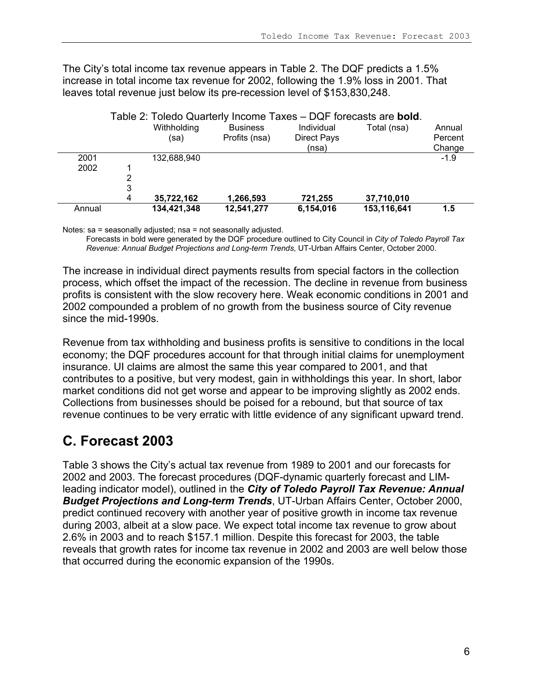The City's total income tax revenue appears in Table 2. The DQF predicts a 1.5% increase in total income tax revenue for 2002, following the 1.9% loss in 2001. That leaves total revenue just below its pre-recession level of \$153,830,248.

|        | Table 2: Toledo Quarterly Income Taxes - DQF forecasts are <b>bold</b> . |             |                 |                    |             |         |
|--------|--------------------------------------------------------------------------|-------------|-----------------|--------------------|-------------|---------|
|        |                                                                          | Withholding | <b>Business</b> | Individual         | Total (nsa) | Annual  |
|        |                                                                          | (sa)        | Profits (nsa)   | <b>Direct Pays</b> |             | Percent |
|        |                                                                          |             |                 | (nsa)              |             | Change  |
| 2001   |                                                                          | 132,688,940 |                 |                    |             | $-1.9$  |
| 2002   |                                                                          |             |                 |                    |             |         |
|        | 2                                                                        |             |                 |                    |             |         |
|        | 3                                                                        |             |                 |                    |             |         |
|        | 4                                                                        | 35,722,162  | 1,266,593       | 721,255            | 37,710,010  |         |
| Annual |                                                                          | 134,421,348 | 12,541,277      | 6,154,016          | 153,116,641 | 1.5     |

Notes: sa = seasonally adjusted; nsa = not seasonally adjusted.

Forecasts in bold were generated by the DQF procedure outlined to City Council in *City of Toledo Payroll Tax Revenue: Annual Budget Projections and Long-term Trends*, UT-Urban Affairs Center, October 2000.

The increase in individual direct payments results from special factors in the collection process, which offset the impact of the recession. The decline in revenue from business profits is consistent with the slow recovery here. Weak economic conditions in 2001 and 2002 compounded a problem of no growth from the business source of City revenue since the mid-1990s.

Revenue from tax withholding and business profits is sensitive to conditions in the local economy; the DQF procedures account for that through initial claims for unemployment insurance. UI claims are almost the same this year compared to 2001, and that contributes to a positive, but very modest, gain in withholdings this year. In short, labor market conditions did not get worse and appear to be improving slightly as 2002 ends. Collections from businesses should be poised for a rebound, but that source of tax revenue continues to be very erratic with little evidence of any significant upward trend.

## **C. Forecast 2003**

Table 3 shows the City's actual tax revenue from 1989 to 2001 and our forecasts for 2002 and 2003. The forecast procedures (DQF-dynamic quarterly forecast and LIMleading indicator model), outlined in the *City of Toledo Payroll Tax Revenue: Annual Budget Projections and Long-term Trends*, UT-Urban Affairs Center, October 2000, predict continued recovery with another year of positive growth in income tax revenue during 2003, albeit at a slow pace. We expect total income tax revenue to grow about 2.6% in 2003 and to reach \$157.1 million. Despite this forecast for 2003, the table reveals that growth rates for income tax revenue in 2002 and 2003 are well below those that occurred during the economic expansion of the 1990s.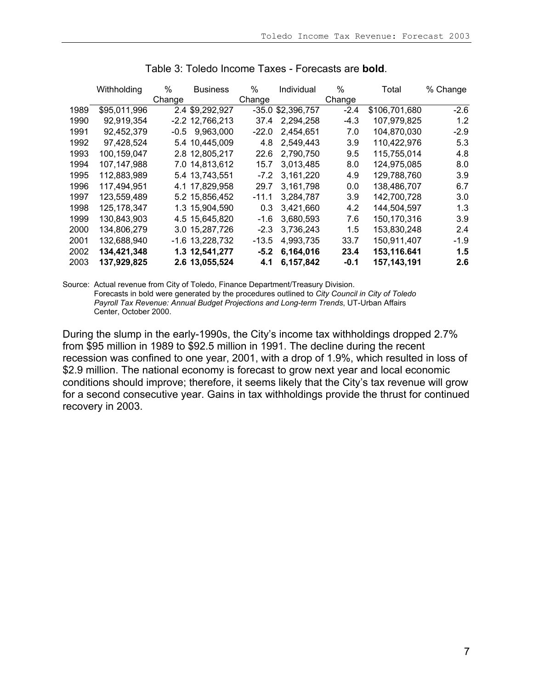|      | Withholding   | %      | <b>Business</b>   | %       | Individual          | %      | Total         | % Change |
|------|---------------|--------|-------------------|---------|---------------------|--------|---------------|----------|
|      |               | Change |                   | Change  |                     | Change |               |          |
| 1989 | \$95,011,996  |        | 2.4 \$9,292,927   |         | $-35.0$ \$2,396,757 | $-2.4$ | \$106,701,680 | $-2.6$   |
| 1990 | 92,919,354    |        | $-2.2$ 12,766,213 | 37.4    | 2,294,258           | $-4.3$ | 107,979,825   | 1.2      |
| 1991 | 92,452,379    | -0.5   | 9,963,000         | $-22.0$ | 2,454,651           | 7.0    | 104,870,030   | $-2.9$   |
| 1992 | 97,428,524    |        | 5.4 10.445,009    | 4.8     | 2,549,443           | 3.9    | 110,422,976   | 5.3      |
| 1993 | 100,159,047   |        | 2.8 12,805,217    | 22.6    | 2,790,750           | 9.5    | 115,755,014   | 4.8      |
| 1994 | 107,147,988   |        | 7.0 14,813,612    | 15.7    | 3,013,485           | 8.0    | 124,975,085   | 8.0      |
| 1995 | 112,883,989   |        | 5.4 13,743,551    | $-7.2$  | 3,161,220           | 4.9    | 129,788,760   | 3.9      |
| 1996 | 117,494,951   |        | 4.1 17,829,958    | 29.7    | 3,161,798           | 0.0    | 138,486,707   | 6.7      |
| 1997 | 123,559,489   |        | 5.2 15,856,452    | $-11.1$ | 3,284,787           | 3.9    | 142,700,728   | 3.0      |
| 1998 | 125, 178, 347 |        | 1.3 15,904,590    | 0.3     | 3,421,660           | 4.2    | 144,504,597   | 1.3      |
| 1999 | 130,843,903   |        | 4.5 15,645,820    | -1.6    | 3,680,593           | 7.6    | 150,170,316   | 3.9      |
| 2000 | 134,806,279   |        | 3.0 15,287,726    | $-2.3$  | 3,736,243           | 1.5    | 153,830,248   | 2.4      |
| 2001 | 132,688,940   |        | $-1.6$ 13,228,732 | $-13.5$ | 4,993,735           | 33.7   | 150,911,407   | $-1.9$   |
| 2002 | 134,421,348   |        | 1.3 12,541,277    | $-5.2$  | 6,164,016           | 23.4   | 153,116.641   | 1.5      |
| 2003 | 137,929,825   |        | 2.6 13,055,524    | 4.1     | 6,157,842           | $-0.1$ | 157, 143, 191 | 2.6      |

Table 3: Toledo Income Taxes - Forecasts are **bold**.

Source: Actual revenue from City of Toledo, Finance Department/Treasury Division. Forecasts in bold were generated by the procedures outlined to *City Council in City of Toledo Payroll Tax Revenue: Annual Budget Projections and Long-term Trends*, UT-Urban Affairs Center, October 2000.

During the slump in the early-1990s, the City's income tax withholdings dropped 2.7% from \$95 million in 1989 to \$92.5 million in 1991. The decline during the recent recession was confined to one year, 2001, with a drop of 1.9%, which resulted in loss of \$2.9 million. The national economy is forecast to grow next year and local economic conditions should improve; therefore, it seems likely that the City's tax revenue will grow for a second consecutive year. Gains in tax withholdings provide the thrust for continued recovery in 2003.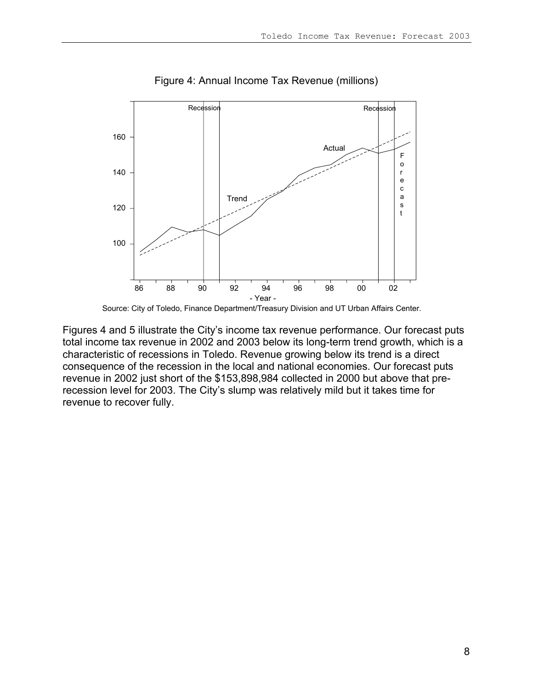

Figure 4: Annual Income Tax Revenue (millions)

Source: City of Toledo, Finance Department/Treasury Division and UT Urban Affairs Center.

Figures 4 and 5 illustrate the City's income tax revenue performance. Our forecast puts total income tax revenue in 2002 and 2003 below its long-term trend growth, which is a characteristic of recessions in Toledo. Revenue growing below its trend is a direct consequence of the recession in the local and national economies. Our forecast puts revenue in 2002 just short of the \$153,898,984 collected in 2000 but above that prerecession level for 2003. The City's slump was relatively mild but it takes time for revenue to recover fully.